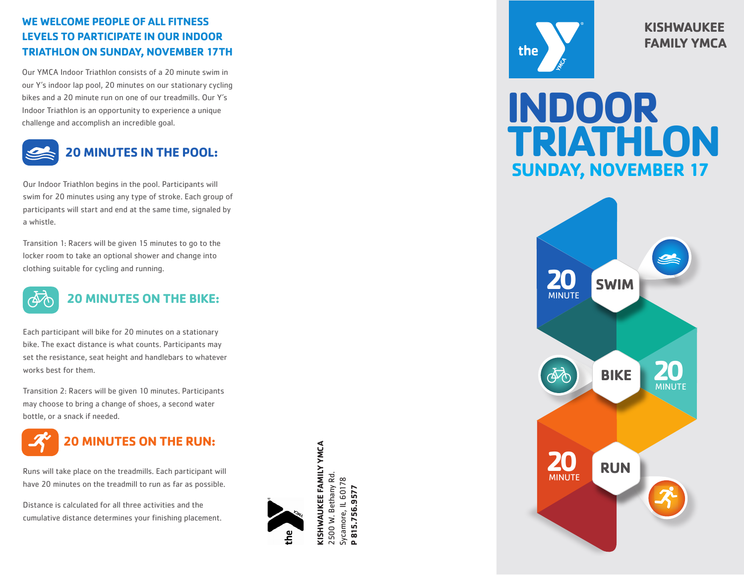### **WE WELCOME PEOPLE OF ALL FITNESS LEVELS TO PARTICIPATE IN OUR INDOOR TRIATHLON ON SUNDAY, NOVEMBER 17TH**

Our YMCA Indoor Triathlon consists of a 20 minute swim in our Y's indoor lap pool, 20 minutes on our stationary cycling bikes and a 20 minute run on one of our treadmills. Our Y's Indoor Triathlon is an opportunity to experience a unique challenge and accomplish an incredible goal.



Our Indoor Triathlon begins in the pool. Participants will swim for 20 minutes using any type of stroke. Each group of participants will start and end at the same time, signaled by a whistle.

Transition 1: Racers will be given 15 minutes to go to the locker room to take an optional shower and change into clothing suitable for cycling and running.



# **20 MINUTES ON THE BIKE:**

Each participant will bike for 20 minutes on a stationary bike. The exact distance is what counts. Participants may set the resistance, seat height and handlebars to whatever works best for them.

Transition 2: Racers will be given 10 minutes. Participants may choose to bring a change of shoes, a second water bottle, or a snack if needed.



Runs will take place on the treadmills. Each participant will have 20 minutes on the treadmill to run as far as possible.

Distance is calculated for all three activities and the cumulative distance determines your finishing placement.



 $\mathbf{A} \geq \mathbf{B}$ 2500 W. Bethany Rd. **P 815.756.9577**



**KISHWAUKEE FAMILY YMCA**